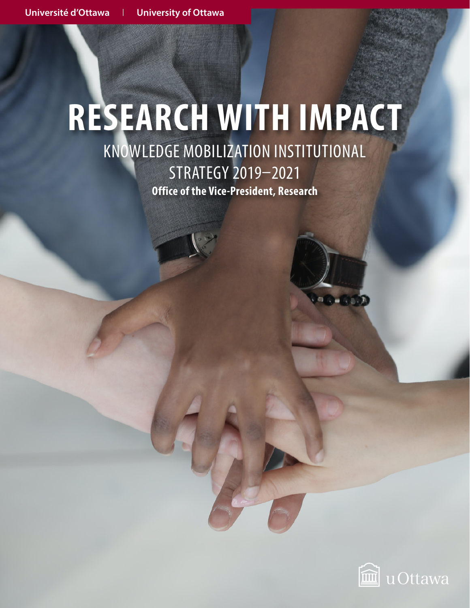# **RESEARCH WITH IMPACT** KNOWLEDGE MOBILIZATION INSTITUTIONAL STRATEGY 2019–2021

**Office of the Vice-President, Research**

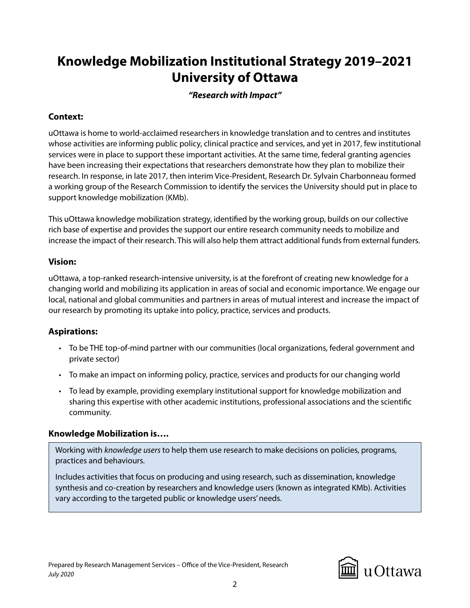## **Knowledge Mobilization Institutional Strategy 2019–2021 University of Ottawa**

#### *"Research with Impact"*

#### **Context:**

uOttawa is home to world-acclaimed researchers in knowledge translation and to centres and institutes whose activities are informing public policy, clinical practice and services, and yet in 2017, few institutional services were in place to support these important activities. At the same time, federal granting agencies have been increasing their expectations that researchers demonstrate how they plan to mobilize their research. In response, in late 2017, then interim Vice-President, Research Dr. Sylvain Charbonneau formed a working group of the Research Commission to identify the services the University should put in place to support knowledge mobilization (KMb).

This uOttawa knowledge mobilization strategy, identified by the working group, builds on our collective rich base of expertise and provides the support our entire research community needs to mobilize and increase the impact of their research. This will also help them attract additional funds from external funders.

#### **Vision:**

uOttawa, a top-ranked research-intensive university, is at the forefront of creating new knowledge for a changing world and mobilizing its application in areas of social and economic importance. We engage our local, national and global communities and partners in areas of mutual interest and increase the impact of our research by promoting its uptake into policy, practice, services and products.

### **Aspirations:**

- To be THE top-of-mind partner with our communities (local organizations, federal government and private sector)
- To make an impact on informing policy, practice, services and products for our changing world
- To lead by example, providing exemplary institutional support for knowledge mobilization and sharing this expertise with other academic institutions, professional associations and the scientific community.

#### **Knowledge Mobilization is….**

Working with *knowledge users* to help them use research to make decisions on policies, programs, practices and behaviours.

Includes activities that focus on producing and using research, such as dissemination, knowledge synthesis and co-creation by researchers and knowledge users (known as integrated KMb). Activities vary according to the targeted public or knowledge users' needs.

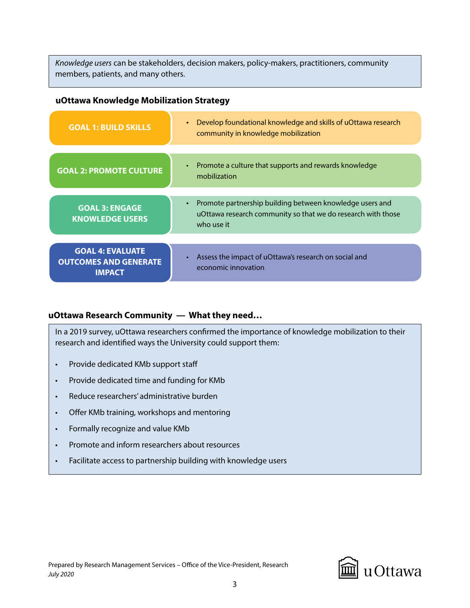*Knowledge users* can be stakeholders, decision makers, policy-makers, practitioners, community members, patients, and many others.

#### **uOttawa Knowledge Mobilization Strategy**

| <b>GOAL 1: BUILD SKILLS</b>                                              | Develop foundational knowledge and skills of uOttawa research<br>$\bullet$<br>community in knowledge mobilization                      |  |
|--------------------------------------------------------------------------|----------------------------------------------------------------------------------------------------------------------------------------|--|
|                                                                          |                                                                                                                                        |  |
| <b>GOAL 2: PROMOTE CULTURE</b>                                           | Promote a culture that supports and rewards knowledge<br>$\bullet$<br>mobilization                                                     |  |
|                                                                          |                                                                                                                                        |  |
| <b>GOAL 3: ENGAGE</b><br><b>KNOWLEDGE USERS</b>                          | Promote partnership building between knowledge users and<br>uOttawa research community so that we do research with those<br>who use it |  |
|                                                                          |                                                                                                                                        |  |
| <b>GOAL 4: EVALUATE</b><br><b>OUTCOMES AND GENERATE</b><br><b>IMPACT</b> | Assess the impact of uOttawa's research on social and<br>economic innovation                                                           |  |

#### **uOttawa Research Community — What they need…**

In a 2019 survey, uOttawa researchers confirmed the importance of knowledge mobilization to their research and identified ways the University could support them:

- Provide dedicated KMb support staff
- Provide dedicated time and funding for KMb
- Reduce researchers' administrative burden
- Offer KMb training, workshops and mentoring
- Formally recognize and value KMb
- Promote and inform researchers about resources
- Facilitate access to partnership building with knowledge users

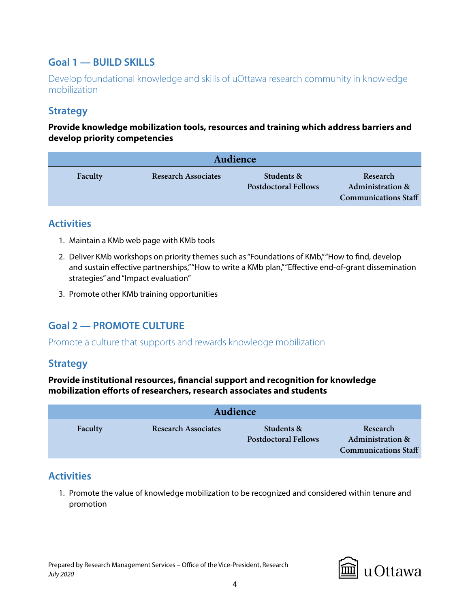## **Goal 1 — BUILD SKILLS**

Develop foundational knowledge and skills of uOttawa research community in knowledge mobilization

## **Strategy**

**Provide knowledge mobilization tools, resources and training which address barriers and develop priority competencies**

| Audience |                            |                                           |                                                                        |  |
|----------|----------------------------|-------------------------------------------|------------------------------------------------------------------------|--|
| Faculty  | <b>Research Associates</b> | Students &<br><b>Postdoctoral Fellows</b> | Research<br><b>Administration &amp;</b><br><b>Communications Staff</b> |  |

### **Activities**

- 1. Maintain a KMb web page with KMb tools
- 2. Deliver KMb workshops on priority themes such as "Foundations of KMb," "How to find, develop and sustain effective partnerships," "How to write a KMb plan," "Effective end-of-grant dissemination strategies" and "Impact evaluation"
- 3. Promote other KMb training opportunities

## **Goal 2 — PROMOTE CULTURE**

Promote a culture that supports and rewards knowledge mobilization

### **Strategy**

**Provide institutional resources, financial support and recognition for knowledge mobilization efforts of researchers, research associates and students**

| Audience |                            |                                           |                                                                        |  |
|----------|----------------------------|-------------------------------------------|------------------------------------------------------------------------|--|
| Faculty  | <b>Research Associates</b> | Students &<br><b>Postdoctoral Fellows</b> | Research<br><b>Administration &amp;</b><br><b>Communications Staff</b> |  |

## **Activities**

1. Promote the value of knowledge mobilization to be recognized and considered within tenure and promotion

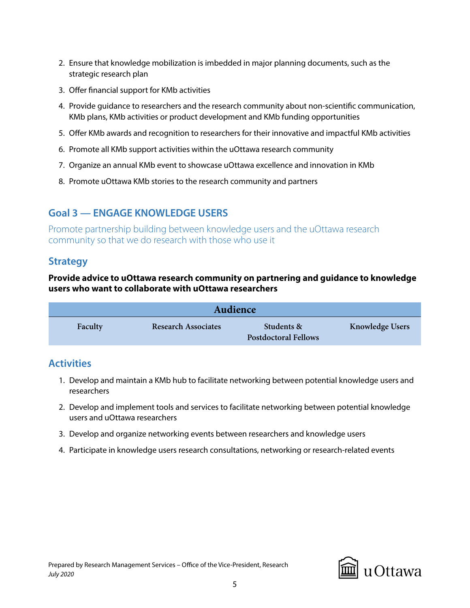- 2. Ensure that knowledge mobilization is imbedded in major planning documents, such as the strategic research plan
- 3. Offer financial support for KMb activities
- 4. Provide guidance to researchers and the research community about non-scientific communication, KMb plans, KMb activities or product development and KMb funding opportunities
- 5. Offer KMb awards and recognition to researchers for their innovative and impactful KMb activities
- 6. Promote all KMb support activities within the uOttawa research community
- 7. Organize an annual KMb event to showcase uOttawa excellence and innovation in KMb
- 8. Promote uOttawa KMb stories to the research community and partners

## **Goal 3 — ENGAGE KNOWLEDGE USERS**

Promote partnership building between knowledge users and the uOttawa research community so that we do research with those who use it

### **Strategy**

#### **Provide advice to uOttawa research community on partnering and guidance to knowledge users who want to collaborate with uOttawa researchers**

| Audience |                            |                                           |                        |
|----------|----------------------------|-------------------------------------------|------------------------|
| Faculty  | <b>Research Associates</b> | Students &<br><b>Postdoctoral Fellows</b> | <b>Knowledge Users</b> |

## **Activities**

- 1. Develop and maintain a KMb hub to facilitate networking between potential knowledge users and researchers
- 2. Develop and implement tools and services to facilitate networking between potential knowledge users and uOttawa researchers
- 3. Develop and organize networking events between researchers and knowledge users
- 4. Participate in knowledge users research consultations, networking or research-related events

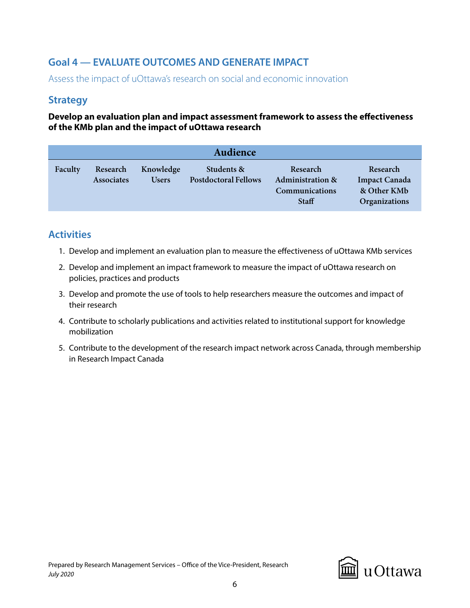## **Goal 4 — EVALUATE OUTCOMES AND GENERATE IMPACT**

Assess the impact of uOttawa's research on social and economic innovation

## **Strategy**

#### **Develop an evaluation plan and impact assessment framework to assess the effectiveness of the KMb plan and the impact of uOttawa research**

| Audience |                               |                           |                                           |                                                                           |                                                                  |
|----------|-------------------------------|---------------------------|-------------------------------------------|---------------------------------------------------------------------------|------------------------------------------------------------------|
| Faculty  | Research<br><b>Associates</b> | Knowledge<br><b>Users</b> | Students &<br><b>Postdoctoral Fellows</b> | Research<br><b>Administration &amp;</b><br>Communications<br><b>Staff</b> | Research<br><b>Impact Canada</b><br>& Other KMb<br>Organizations |

## **Activities**

- 1. Develop and implement an evaluation plan to measure the effectiveness of uOttawa KMb services
- 2. Develop and implement an impact framework to measure the impact of uOttawa research on policies, practices and products
- 3. Develop and promote the use of tools to help researchers measure the outcomes and impact of their research
- 4. Contribute to scholarly publications and activities related to institutional support for knowledge mobilization
- 5. Contribute to the development of the research impact network across Canada, through membership in Research Impact Canada

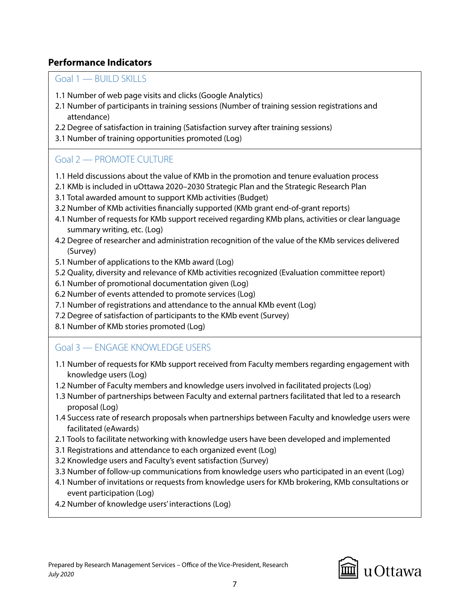### **Performance Indicators**

Goal 1 — BUILD SKILLS

- 1.1 Number of web page visits and clicks (Google Analytics)
- 2.1 Number of participants in training sessions (Number of training session registrations and attendance)
- 2.2 Degree of satisfaction in training (Satisfaction survey after training sessions)
- 3.1 Number of training opportunities promoted (Log)

## Goal 2 — PROMOTE CULTURE

- 1.1 Held discussions about the value of KMb in the promotion and tenure evaluation process
- 2.1 KMb is included in uOttawa 2020–2030 Strategic Plan and the Strategic Research Plan
- 3.1 Total awarded amount to support KMb activities (Budget)
- 3.2 Number of KMb activities financially supported (KMb grant end-of-grant reports)
- 4.1 Number of requests for KMb support received regarding KMb plans, activities or clear language summary writing, etc. (Log)
- 4.2 Degree of researcher and administration recognition of the value of the KMb services delivered (Survey)
- 5.1 Number of applications to the KMb award (Log)
- 5.2 Quality, diversity and relevance of KMb activities recognized (Evaluation committee report)
- 6.1 Number of promotional documentation given (Log)
- 6.2 Number of events attended to promote services (Log)
- 7.1 Number of registrations and attendance to the annual KMb event (Log)
- 7.2 Degree of satisfaction of participants to the KMb event (Survey)
- 8.1 Number of KMb stories promoted (Log)

## Goal 3 — ENGAGE KNOWLEDGE USERS

- 1.1 Number of requests for KMb support received from Faculty members regarding engagement with knowledge users (Log)
- 1.2 Number of Faculty members and knowledge users involved in facilitated projects (Log)
- 1.3 Number of partnerships between Faculty and external partners facilitated that led to a research proposal (Log)
- 1.4 Success rate of research proposals when partnerships between Faculty and knowledge users were facilitated (eAwards)
- 2.1 Tools to facilitate networking with knowledge users have been developed and implemented
- 3.1 Registrations and attendance to each organized event (Log)
- 3.2 Knowledge users and Faculty's event satisfaction (Survey)
- 3.3 Number of follow-up communications from knowledge users who participated in an event (Log)
- 4.1 Number of invitations or requests from knowledge users for KMb brokering, KMb consultations or event participation (Log)
- 4.2 Number of knowledge users' interactions (Log)

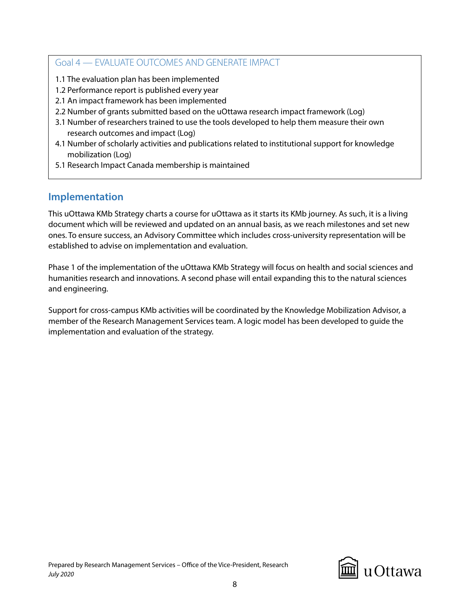#### Goal 4 — EVALUATE OUTCOMES AND GENERATE IMPACT

- 1.1 The evaluation plan has been implemented
- 1.2 Performance report is published every year
- 2.1 An impact framework has been implemented
- 2.2 Number of grants submitted based on the uOttawa research impact framework (Log)
- 3.1 Number of researchers trained to use the tools developed to help them measure their own research outcomes and impact (Log)
- 4.1 Number of scholarly activities and publications related to institutional support for knowledge mobilization (Log)
- 5.1 Research Impact Canada membership is maintained

## **Implementation**

This uOttawa KMb Strategy charts a course for uOttawa as it starts its KMb journey. As such, it is a living document which will be reviewed and updated on an annual basis, as we reach milestones and set new ones. To ensure success, an Advisory Committee which includes cross-university representation will be established to advise on implementation and evaluation.

Phase 1 of the implementation of the uOttawa KMb Strategy will focus on health and social sciences and humanities research and innovations. A second phase will entail expanding this to the natural sciences and engineering.

Support for cross-campus KMb activities will be coordinated by the Knowledge Mobilization Advisor, a member of the Research Management Services team. A logic model has been developed to guide the implementation and evaluation of the strategy.